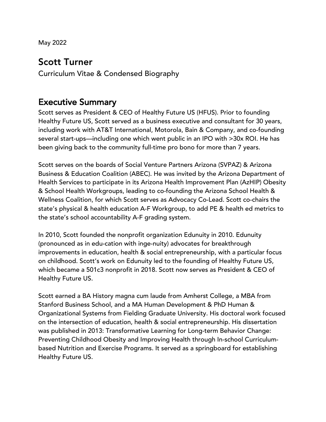May 2022

#### Scott Turner

Curriculum Vitae & Condensed Biography

#### Executive Summary

Scott serves as President & CEO of Healthy Future US (HFUS). Prior to founding Healthy Future US, Scott served as a business executive and consultant for 30 years, including work with AT&T International, Motorola, Bain & Company, and co-founding several start-ups—including one which went public in an IPO with >30x ROI. He has been giving back to the community full-time pro bono for more than 7 years.

Scott serves on the boards of Social Venture Partners Arizona (SVPAZ) & Arizona Business & Education Coalition (ABEC). He was invited by the Arizona Department of Health Services to participate in its Arizona Health Improvement Plan (AzHIP) Obesity & School Health Workgroups, leading to co-founding the Arizona School Health & Wellness Coalition, for which Scott serves as Advocacy Co-Lead. Scott co-chairs the state's physical & health education A-F Workgroup, to add PE & health ed metrics to the state's school accountability A-F grading system.

In 2010, Scott founded the nonprofit organization Edunuity in 2010. Edunuity (pronounced as in edu-cation with inge-nuity) advocates for breakthrough improvements in education, health & social entrepreneurship, with a particular focus on childhood. Scott's work on Edunuity led to the founding of Healthy Future US, which became a 501c3 nonprofit in 2018. Scott now serves as President & CEO of Healthy Future US.

Scott earned a BA History magna cum laude from Amherst College, a MBA from Stanford Business School, and a MA Human Development & PhD Human & Organizational Systems from Fielding Graduate University. His doctoral work focused on the intersection of education, health & social entrepreneurship. His dissertation was published in 2013: Transformative Learning for Long-term Behavior Change: Preventing Childhood Obesity and Improving Health through In-school Curriculumbased Nutrition and Exercise Programs. It served as a springboard for establishing Healthy Future US.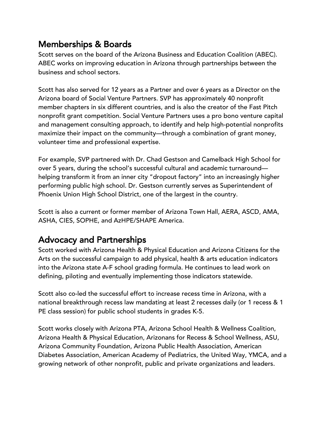# Memberships & Boards

Scott serves on the board of the Arizona Business and Education Coalition (ABEC). ABEC works on improving education in Arizona through partnerships between the business and school sectors.

Scott has also served for 12 years as a Partner and over 6 years as a Director on the Arizona board of Social Venture Partners. SVP has approximately 40 nonprofit member chapters in six different countries, and is also the creator of the Fast Pitch nonprofit grant competition. Social Venture Partners uses a pro bono venture capital and management consulting approach, to identify and help high-potential nonprofits maximize their impact on the community—through a combination of grant money, volunteer time and professional expertise.

For example, SVP partnered with Dr. Chad Gestson and Camelback High School for over 5 years, during the school's successful cultural and academic turnaround helping transform it from an inner city "dropout factory" into an increasingly higher performing public high school. Dr. Gestson currently serves as Superintendent of Phoenix Union High School District, one of the largest in the country.

Scott is also a current or former member of Arizona Town Hall, AERA, ASCD, AMA, ASHA, CIES, SOPHE, and AzHPE/SHAPE America.

## Advocacy and Partnerships

Scott worked with Arizona Health & Physical Education and Arizona Citizens for the Arts on the successful campaign to add physical, health & arts education indicators into the Arizona state A-F school grading formula. He continues to lead work on defining, piloting and eventually implementing those indicators statewide.

Scott also co-led the successful effort to increase recess time in Arizona, with a national breakthrough recess law mandating at least 2 recesses daily (or 1 recess & 1 PE class session) for public school students in grades K-5.

Scott works closely with Arizona PTA, Arizona School Health & Wellness Coalition, Arizona Health & Physical Education, Arizonans for Recess & School Wellness, ASU, Arizona Community Foundation, Arizona Public Health Association, American Diabetes Association, American Academy of Pediatrics, the United Way, YMCA, and a growing network of other nonprofit, public and private organizations and leaders.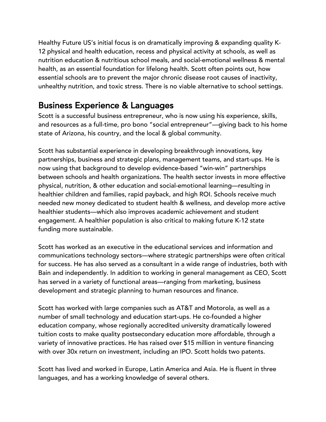Healthy Future US's initial focus is on dramatically improving & expanding quality K-12 physical and health education, recess and physical activity at schools, as well as nutrition education & nutritious school meals, and social-emotional wellness & mental health, as an essential foundation for lifelong health. Scott often points out, how essential schools are to prevent the major chronic disease root causes of inactivity, unhealthy nutrition, and toxic stress. There is no viable alternative to school settings.

# Business Experience & Languages

Scott is a successful business entrepreneur, who is now using his experience, skills, and resources as a full-time, pro bono "social entrepreneur"—giving back to his home state of Arizona, his country, and the local & global community.

Scott has substantial experience in developing breakthrough innovations, key partnerships, business and strategic plans, management teams, and start-ups. He is now using that background to develop evidence-based "win-win" partnerships between schools and health organizations. The health sector invests in more effective physical, nutrition, & other education and social-emotional learning—resulting in healthier children and families, rapid payback, and high ROI. Schools receive much needed new money dedicated to student health & wellness, and develop more active healthier students—which also improves academic achievement and student engagement. A healthier population is also critical to making future K-12 state funding more sustainable.

Scott has worked as an executive in the educational services and information and communications technology sectors—where strategic partnerships were often critical for success. He has also served as a consultant in a wide range of industries, both with Bain and independently. In addition to working in general management as CEO, Scott has served in a variety of functional areas—ranging from marketing, business development and strategic planning to human resources and finance.

Scott has worked with large companies such as AT&T and Motorola, as well as a number of small technology and education start-ups. He co-founded a higher education company, whose regionally accredited university dramatically lowered tuition costs to make quality postsecondary education more affordable, through a variety of innovative practices. He has raised over \$15 million in venture financing with over 30x return on investment, including an IPO. Scott holds two patents.

Scott has lived and worked in Europe, Latin America and Asia. He is fluent in three languages, and has a working knowledge of several others.